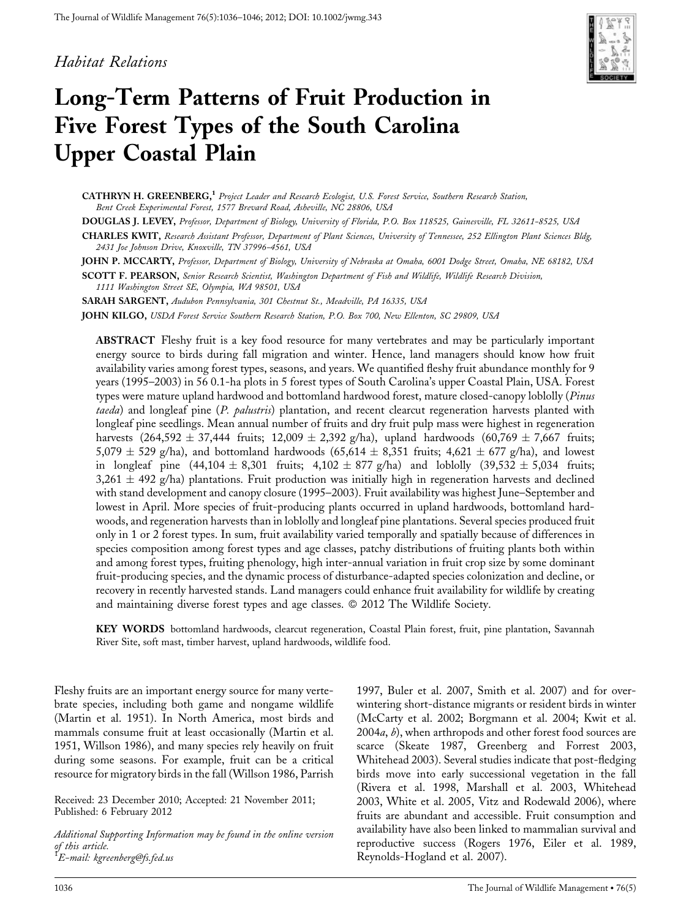### Habitat Relations



# Long-Term Patterns of Fruit Production in Five Forest Types of the South Carolina Upper Coastal Plain

CATHRYN H. GREENBERG,<sup>1</sup> Project Leader and Research Ecologist, U.S. Forest Service, Southern Research Station, Bent Creek Experimental Forest, 1577 Brevard Road, Asheville, NC 28806, USA

DOUGLAS J. LEVEY, Professor, Department of Biology, University of Florida, P.O. Box 118525, Gainesville, FL 32611-8525, USA

CHARLES KWIT, Research Assistant Professor, Department of Plant Sciences, University of Tennessee, 252 Ellington Plant Sciences Bldg, 2431 Joe Johnson Drive, Knoxville, TN 37996-4561, USA

JOHN P. MCCARTY, Professor, Department of Biology, University of Nebraska at Omaha, 6001 Dodge Street, Omaha, NE 68182, USA SCOTT F. PEARSON, Senior Research Scientist, Washington Department of Fish and Wildlife, Wildlife Research Division, 1111 Washington Street SE, Olympia, WA 98501, USA

SARAH SARGENT, Audubon Pennsylvania, 301 Chestnut St., Meadville, PA 16335, USA

JOHN KILGO, USDA Forest Service Southern Research Station, P.O. Box 700, New Ellenton, SC 29809, USA

ABSTRACT Fleshy fruit is a key food resource for many vertebrates and may be particularly important energy source to birds during fall migration and winter. Hence, land managers should know how fruit availability varies among forest types, seasons, and years. We quantified fleshy fruit abundance monthly for 9 years (1995–2003) in 56 0.1-ha plots in 5 forest types of South Carolina's upper Coastal Plain, USA. Forest types were mature upland hardwood and bottomland hardwood forest, mature closed-canopy loblolly (Pinus taeda) and longleaf pine (P. palustris) plantation, and recent clearcut regeneration harvests planted with longleaf pine seedlings. Mean annual number of fruits and dry fruit pulp mass were highest in regeneration harvests  $(264,592 \pm 37,444$  fruits;  $12,009 \pm 2,392$  g/ha), upland hardwoods  $(60,769 \pm 7,667$  fruits; 5,079  $\pm$  529 g/ha), and bottomland hardwoods (65,614  $\pm$  8,351 fruits; 4,621  $\pm$  677 g/ha), and lowest in longleaf pine  $(44,104 \pm 8,301)$  fruits;  $4,102 \pm 877$  g/ha) and loblolly  $(39,532 \pm 5,034)$  fruits;  $3,261 \pm 492$  g/ha) plantations. Fruit production was initially high in regeneration harvests and declined with stand development and canopy closure (1995–2003). Fruit availability was highest June–September and lowest in April. More species of fruit-producing plants occurred in upland hardwoods, bottomland hardwoods, and regeneration harvests than in loblolly and longleaf pine plantations. Several species produced fruit only in 1 or 2 forest types. In sum, fruit availability varied temporally and spatially because of differences in species composition among forest types and age classes, patchy distributions of fruiting plants both within and among forest types, fruiting phenology, high inter-annual variation in fruit crop size by some dominant fruit-producing species, and the dynamic process of disturbance-adapted species colonization and decline, or recovery in recently harvested stands. Land managers could enhance fruit availability for wildlife by creating and maintaining diverse forest types and age classes.  $\odot$  2012 The Wildlife Society.

KEY WORDS bottomland hardwoods, clearcut regeneration, Coastal Plain forest, fruit, pine plantation, Savannah River Site, soft mast, timber harvest, upland hardwoods, wildlife food.

Fleshy fruits are an important energy source for many vertebrate species, including both game and nongame wildlife (Martin et al. 1951). In North America, most birds and mammals consume fruit at least occasionally (Martin et al. 1951, Willson 1986), and many species rely heavily on fruit during some seasons. For example, fruit can be a critical resource for migratory birds in the fall (Willson 1986, Parrish

Received: 23 December 2010; Accepted: 21 November 2011; Published: 6 February 2012

Additional Supporting Information may be found in the online version of this article.<br><sup>1</sup>E-mail: kgreenberg@fs.fed.us

1997, Buler et al. 2007, Smith et al. 2007) and for overwintering short-distance migrants or resident birds in winter (McCarty et al. 2002; Borgmann et al. 2004; Kwit et al. 2004*a*, *b*), when arthropods and other forest food sources are scarce (Skeate 1987, Greenberg and Forrest 2003, Whitehead 2003). Several studies indicate that post-fledging birds move into early successional vegetation in the fall (Rivera et al. 1998, Marshall et al. 2003, Whitehead 2003, White et al. 2005, Vitz and Rodewald 2006), where fruits are abundant and accessible. Fruit consumption and availability have also been linked to mammalian survival and reproductive success (Rogers 1976, Eiler et al. 1989, Reynolds-Hogland et al. 2007).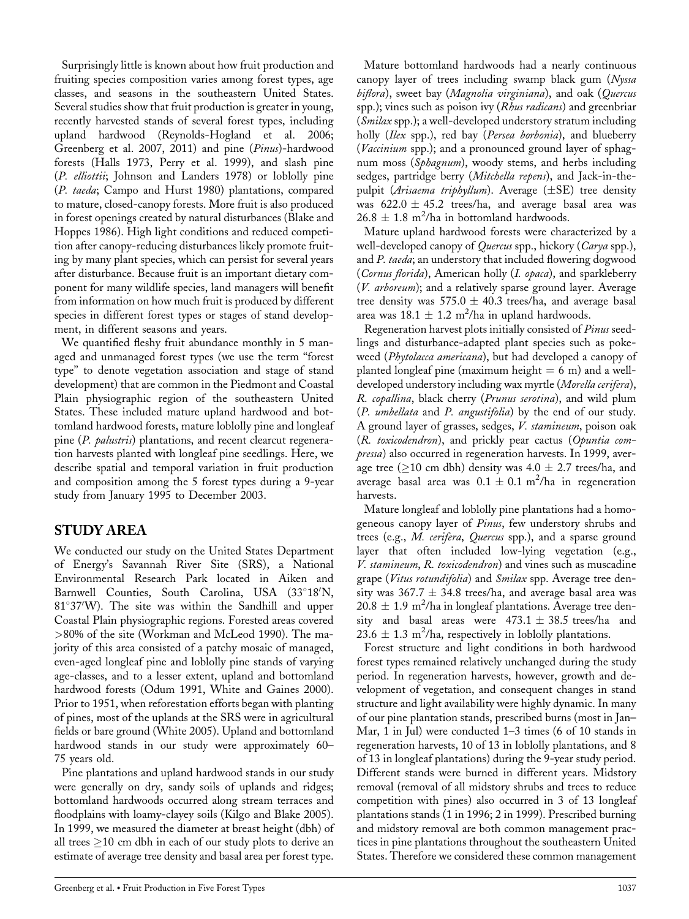Surprisingly little is known about how fruit production and fruiting species composition varies among forest types, age classes, and seasons in the southeastern United States. Several studies show that fruit production is greater in young, recently harvested stands of several forest types, including upland hardwood (Reynolds-Hogland et al. 2006; Greenberg et al. 2007, 2011) and pine (Pinus)-hardwood forests (Halls 1973, Perry et al. 1999), and slash pine (P. elliottii; Johnson and Landers 1978) or loblolly pine (P. taeda; Campo and Hurst 1980) plantations, compared to mature, closed-canopy forests. More fruit is also produced in forest openings created by natural disturbances (Blake and Hoppes 1986). High light conditions and reduced competition after canopy-reducing disturbances likely promote fruiting by many plant species, which can persist for several years after disturbance. Because fruit is an important dietary component for many wildlife species, land managers will benefit from information on how much fruit is produced by different species in different forest types or stages of stand development, in different seasons and years.

We quantified fleshy fruit abundance monthly in 5 managed and unmanaged forest types (we use the term ''forest type'' to denote vegetation association and stage of stand development) that are common in the Piedmont and Coastal Plain physiographic region of the southeastern United States. These included mature upland hardwood and bottomland hardwood forests, mature loblolly pine and longleaf pine (P. palustris) plantations, and recent clearcut regeneration harvests planted with longleaf pine seedlings. Here, we describe spatial and temporal variation in fruit production and composition among the 5 forest types during a 9-year study from January 1995 to December 2003.

# STUDY AREA

We conducted our study on the United States Department of Energy's Savannah River Site (SRS), a National Environmental Research Park located in Aiken and Barnwell Counties, South Carolina, USA (33°18'N,  $81^{\circ}37'$ W). The site was within the Sandhill and upper Coastal Plain physiographic regions. Forested areas covered >80% of the site (Workman and McLeod 1990). The majority of this area consisted of a patchy mosaic of managed, even-aged longleaf pine and loblolly pine stands of varying age-classes, and to a lesser extent, upland and bottomland hardwood forests (Odum 1991, White and Gaines 2000). Prior to 1951, when reforestation efforts began with planting of pines, most of the uplands at the SRS were in agricultural fields or bare ground (White 2005). Upland and bottomland hardwood stands in our study were approximately 60– 75 years old.

Pine plantations and upland hardwood stands in our study were generally on dry, sandy soils of uplands and ridges; bottomland hardwoods occurred along stream terraces and floodplains with loamy-clayey soils (Kilgo and Blake 2005). In 1999, we measured the diameter at breast height (dbh) of all trees  $\geq$ 10 cm dbh in each of our study plots to derive an estimate of average tree density and basal area per forest type.

Mature bottomland hardwoods had a nearly continuous canopy layer of trees including swamp black gum (Nyssa biflora), sweet bay (Magnolia virginiana), and oak (Quercus spp.); vines such as poison ivy (Rhus radicans) and greenbriar (Smilax spp.); a well-developed understory stratum including holly (Ilex spp.), red bay (Persea borbonia), and blueberry (Vaccinium spp.); and a pronounced ground layer of sphagnum moss (Sphagnum), woody stems, and herbs including sedges, partridge berry (*Mitchella repens*), and Jack-in-thepulpit (Arisaema triphyllum). Average  $(\pm SE)$  tree density was  $622.0 \pm 45.2$  trees/ha, and average basal area was  $26.8 \pm 1.8$  m<sup>2</sup>/ha in bottomland hardwoods.

Mature upland hardwood forests were characterized by a well-developed canopy of *Quercus* spp., hickory (*Carya* spp.), and P. taeda; an understory that included flowering dogwood (Cornus florida), American holly (I. opaca), and sparkleberry (V. arboreum); and a relatively sparse ground layer. Average tree density was  $575.0 \pm 40.3$  trees/ha, and average basal area was  $18.1 \pm 1.2 \text{ m}^2/\text{ha}$  in upland hardwoods.

Regeneration harvest plots initially consisted of Pinus seedlings and disturbance-adapted plant species such as pokeweed (Phytolacca americana), but had developed a canopy of planted longleaf pine (maximum height  $= 6$  m) and a welldeveloped understory including wax myrtle (Morella cerifera), R. copallina, black cherry (Prunus serotina), and wild plum (P. umbellata and P. angustifolia) by the end of our study. A ground layer of grasses, sedges, V. stamineum, poison oak (R. toxicodendron), and prickly pear cactus (Opuntia compressa) also occurred in regeneration harvests. In 1999, average tree ( $\geq$ 10 cm dbh) density was 4.0  $\pm$  2.7 trees/ha, and average basal area was  $0.1 \pm 0.1$  m<sup>2</sup>/ha in regeneration harvests.

Mature longleaf and loblolly pine plantations had a homogeneous canopy layer of Pinus, few understory shrubs and trees (e.g., M. cerifera, Quercus spp.), and a sparse ground layer that often included low-lying vegetation (e.g., V. stamineum, R. toxicodendron) and vines such as muscadine grape (Vitus rotundifolia) and Smilax spp. Average tree density was  $367.7 \pm 34.8$  trees/ha, and average basal area was  $20.8 \pm 1.9$  m<sup>2</sup>/ha in longleaf plantations. Average tree density and basal areas were  $473.1 \pm 38.5$  trees/ha and  $23.6 \pm 1.3$  m<sup>2</sup>/ha, respectively in loblolly plantations.

Forest structure and light conditions in both hardwood forest types remained relatively unchanged during the study period. In regeneration harvests, however, growth and development of vegetation, and consequent changes in stand structure and light availability were highly dynamic. In many of our pine plantation stands, prescribed burns (most in Jan– Mar, 1 in Jul) were conducted 1–3 times (6 of 10 stands in regeneration harvests, 10 of 13 in loblolly plantations, and 8 of 13 in longleaf plantations) during the 9-year study period. Different stands were burned in different years. Midstory removal (removal of all midstory shrubs and trees to reduce competition with pines) also occurred in 3 of 13 longleaf plantations stands (1 in 1996; 2 in 1999). Prescribed burning and midstory removal are both common management practices in pine plantations throughout the southeastern United States. Therefore we considered these common management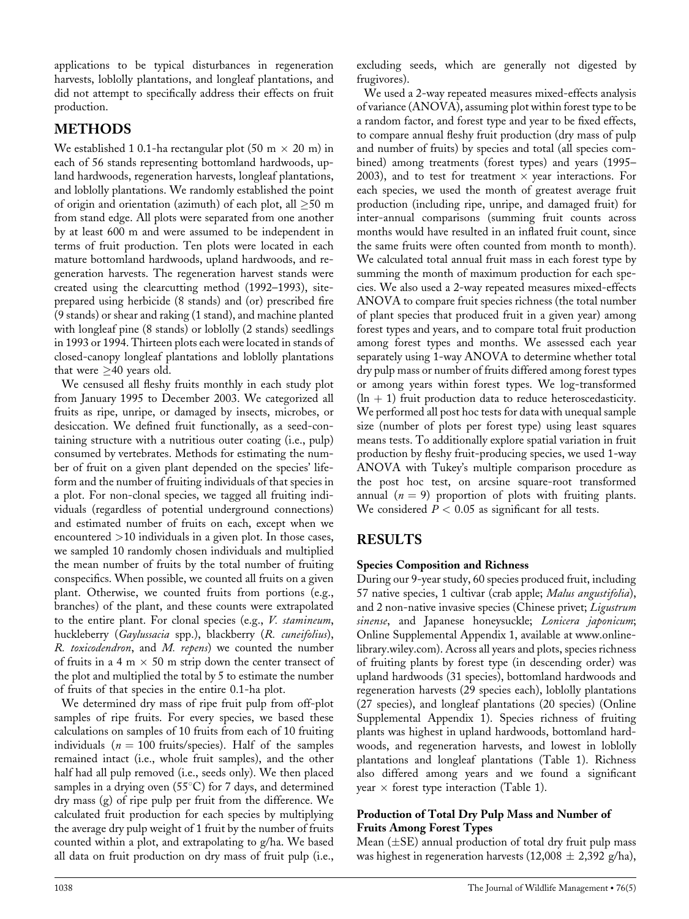applications to be typical disturbances in regeneration harvests, loblolly plantations, and longleaf plantations, and did not attempt to specifically address their effects on fruit production.

# METHODS

We established 1 0.1-ha rectangular plot (50 m  $\times$  20 m) in each of 56 stands representing bottomland hardwoods, upland hardwoods, regeneration harvests, longleaf plantations, and loblolly plantations. We randomly established the point of origin and orientation (azimuth) of each plot, all  $\geq 50$  m from stand edge. All plots were separated from one another by at least 600 m and were assumed to be independent in terms of fruit production. Ten plots were located in each mature bottomland hardwoods, upland hardwoods, and regeneration harvests. The regeneration harvest stands were created using the clearcutting method (1992–1993), siteprepared using herbicide (8 stands) and (or) prescribed fire (9 stands) or shear and raking (1 stand), and machine planted with longleaf pine (8 stands) or loblolly (2 stands) seedlings in 1993 or 1994. Thirteen plots each were located in stands of closed-canopy longleaf plantations and loblolly plantations that were  $\geq$ 40 years old.

We censused all fleshy fruits monthly in each study plot from January 1995 to December 2003. We categorized all fruits as ripe, unripe, or damaged by insects, microbes, or desiccation. We defined fruit functionally, as a seed-containing structure with a nutritious outer coating (i.e., pulp) consumed by vertebrates. Methods for estimating the number of fruit on a given plant depended on the species' lifeform and the number of fruiting individuals of that species in a plot. For non-clonal species, we tagged all fruiting individuals (regardless of potential underground connections) and estimated number of fruits on each, except when we encountered >10 individuals in a given plot. In those cases, we sampled 10 randomly chosen individuals and multiplied the mean number of fruits by the total number of fruiting conspecifics. When possible, we counted all fruits on a given plant. Otherwise, we counted fruits from portions (e.g., branches) of the plant, and these counts were extrapolated to the entire plant. For clonal species (e.g., V. stamineum, huckleberry (Gaylussacia spp.), blackberry (R. cuneifolius), R. toxicodendron, and M. repens) we counted the number of fruits in a 4 m  $\times$  50 m strip down the center transect of the plot and multiplied the total by 5 to estimate the number of fruits of that species in the entire 0.1-ha plot.

We determined dry mass of ripe fruit pulp from off-plot samples of ripe fruits. For every species, we based these calculations on samples of 10 fruits from each of 10 fruiting individuals ( $n = 100$  fruits/species). Half of the samples remained intact (i.e., whole fruit samples), and the other half had all pulp removed (i.e., seeds only). We then placed samples in a drying oven  $(55^{\circ}C)$  for 7 days, and determined dry mass (g) of ripe pulp per fruit from the difference. We calculated fruit production for each species by multiplying the average dry pulp weight of 1 fruit by the number of fruits counted within a plot, and extrapolating to g/ha. We based all data on fruit production on dry mass of fruit pulp (i.e.,

excluding seeds, which are generally not digested by frugivores).

We used a 2-way repeated measures mixed-effects analysis of variance (ANOVA), assuming plot within forest type to be a random factor, and forest type and year to be fixed effects, to compare annual fleshy fruit production (dry mass of pulp and number of fruits) by species and total (all species combined) among treatments (forest types) and years (1995– 2003), and to test for treatment  $\times$  year interactions. For each species, we used the month of greatest average fruit production (including ripe, unripe, and damaged fruit) for inter-annual comparisons (summing fruit counts across months would have resulted in an inflated fruit count, since the same fruits were often counted from month to month). We calculated total annual fruit mass in each forest type by summing the month of maximum production for each species. We also used a 2-way repeated measures mixed-effects ANOVA to compare fruit species richness (the total number of plant species that produced fruit in a given year) among forest types and years, and to compare total fruit production among forest types and months. We assessed each year separately using 1-way ANOVA to determine whether total dry pulp mass or number of fruits differed among forest types or among years within forest types. We log-transformed  $(ln + 1)$  fruit production data to reduce heteroscedasticity. We performed all post hoc tests for data with unequal sample size (number of plots per forest type) using least squares means tests. To additionally explore spatial variation in fruit production by fleshy fruit-producing species, we used 1-way ANOVA with Tukey's multiple comparison procedure as the post hoc test, on arcsine square-root transformed annual  $(n = 9)$  proportion of plots with fruiting plants. We considered  $P < 0.05$  as significant for all tests.

### RESULTS

### Species Composition and Richness

During our 9-year study, 60 species produced fruit, including 57 native species, 1 cultivar (crab apple; Malus angustifolia), and 2 non-native invasive species (Chinese privet; Ligustrum sinense, and Japanese honeysuckle; Lonicera japonicum; Online Supplemental Appendix 1, available at www.onlinelibrary.wiley.com). Across all years and plots, species richness of fruiting plants by forest type (in descending order) was upland hardwoods (31 species), bottomland hardwoods and regeneration harvests (29 species each), loblolly plantations (27 species), and longleaf plantations (20 species) (Online Supplemental Appendix 1). Species richness of fruiting plants was highest in upland hardwoods, bottomland hardwoods, and regeneration harvests, and lowest in loblolly plantations and longleaf plantations (Table 1). Richness also differed among years and we found a significant year  $\times$  forest type interaction (Table 1).

### Production of Total Dry Pulp Mass and Number of Fruits Among Forest Types

Mean  $(\pm SE)$  annual production of total dry fruit pulp mass was highest in regeneration harvests (12,008  $\pm$  2,392 g/ha),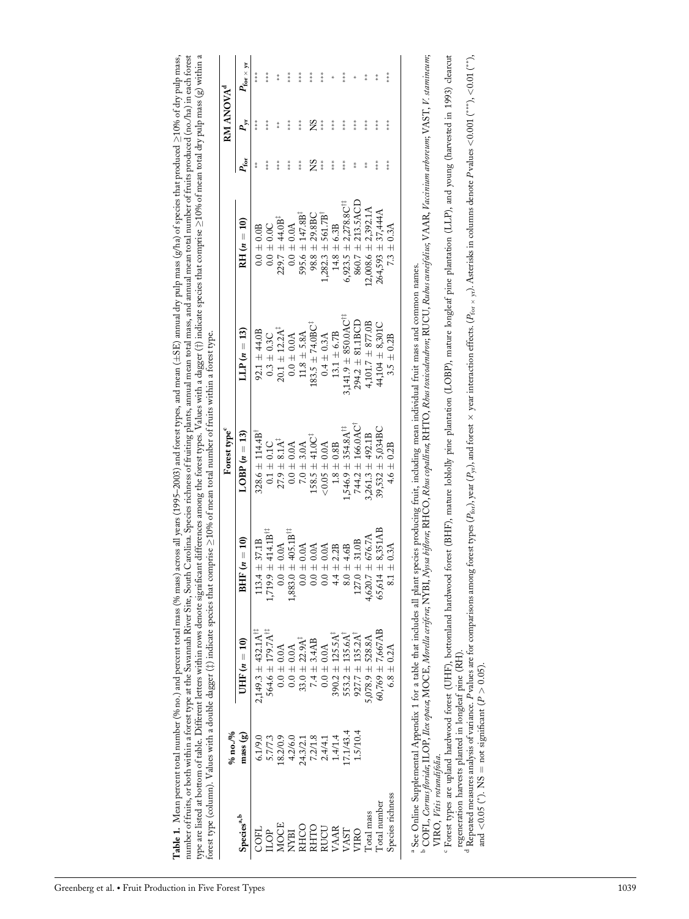| RM ANOVA | Forest type'                                                                                                                                                                                                                                                                                                                                                                        | $\sim -104$                                                                      |
|----------|-------------------------------------------------------------------------------------------------------------------------------------------------------------------------------------------------------------------------------------------------------------------------------------------------------------------------------------------------------------------------------------|----------------------------------------------------------------------------------|
|          | type are listed at bottom of table. Different letters within rows denote significant differences among the forest types. Values with a dagger (†) indicate species that comprise 210% of mean total dry pulp mass (g) within<br>orest type (column). Values with a double dagger (1) indicate species that comprise $\geq$ 10% of mean total number of fruits within a forest type. |                                                                                  |
|          | h Carolina. Species richness of fruiting plants, annual mean total mass, and annual mean total number of fruits produced (no./ha) in each forest                                                                                                                                                                                                                                    | number of fruits, or both within a forest type at the Savannah River Site, South |
|          | <b>able 1.</b> Mean percent total number (% no.) and percent total mass (% mass) across all years (1995–2003) and forest types, and mean (±SE) annual dry pulp mass (g/ha) of species that produced 210% of dry pulp mass,                                                                                                                                                          |                                                                                  |

|                        |                                                                                      |                                                                                                                         | forest type (column). Values with a double dagger (1) indicate species that comprise $\geq$ 10% of mean total number of fruits within a forest type. |                                     |                                      |                                       |     |                       |                         |
|------------------------|--------------------------------------------------------------------------------------|-------------------------------------------------------------------------------------------------------------------------|------------------------------------------------------------------------------------------------------------------------------------------------------|-------------------------------------|--------------------------------------|---------------------------------------|-----|-----------------------|-------------------------|
|                        | % no. $/$ %                                                                          |                                                                                                                         |                                                                                                                                                      | Forest type <sup>c</sup>            |                                      |                                       |     | RM ANOVA <sup>d</sup> |                         |
| Species <sup>a,b</sup> | mass <sub>(g)</sub>                                                                  | $JHF(n = 10)$                                                                                                           | $(n = 10)$<br><b>BHF</b>                                                                                                                             | $\text{LOBP}(n=13)$                 | $LIP(n=13)$                          | $RH(n = 10)$                          |     |                       | $P_{\rm for~\times~yr}$ |
|                        | 5.1/9.0                                                                              | $2,149.3 \pm 432.1$ A <sup>TT</sup>                                                                                     | $.13.4 \pm 37.1B$                                                                                                                                    | $328.6 \pm 114.4B$ <sup>†</sup>     | $92.1 \pm 44.0B$                     | $0.0\pm0.0\mathrm{B}$                 |     |                       |                         |
|                        |                                                                                      | $564.6 \pm 179.7$ Å                                                                                                     | $719.9 \pm 414.1 B^{\dagger \ddagger}$                                                                                                               | $0.1 \pm 0.1$ C                     | $0.3 \pm 0.3$ C                      | $0.0 \pm 0.0$                         |     |                       |                         |
|                        | 5.7/7.3<br>18.2/0.0<br>4.2/6.0<br>4.3/2.2/1.3<br>7.2/1.43.4<br>1.5/143.4<br>1.5/10.4 | $0.0 \pm 0.0$ A                                                                                                         | $0.0 \pm 0.0$ A                                                                                                                                      | $27.9 \pm 8.1$ A <sup>#</sup>       | $20.1 \pm 12.2$ A <sup>‡</sup>       | $229.7 \pm 44.0B$                     |     |                       |                         |
|                        |                                                                                      |                                                                                                                         | $,883.0 + 405.1B†$                                                                                                                                   | $0.0 \pm 0.0$ A                     | $0.0 \pm 0.0$ A                      | $0.0 \pm 0.0$ A                       | *** |                       |                         |
|                        |                                                                                      |                                                                                                                         | $0.0 \pm 0.0$ A                                                                                                                                      | $7.0 \pm 3.0$ A                     | $11.8 \pm 5.8$ A                     | $595.6 \pm 147.8B$ <sup>#</sup>       | *** | ***                   |                         |
|                        |                                                                                      | $\begin{array}{c} 0.0 \pm 0.0 \mathrm{A} \\ 33.0 \pm 22.9 \mathrm{A}^{\ddagger} \\ 7.4 \pm 3.4 \mathrm{AB} \end{array}$ | $0.0 \pm 0.0$ A                                                                                                                                      | $158.5 \pm 41.0$ C <sup>#</sup>     | $183.5 \pm 74.0BC$                   | $98.8 \pm 29.8BC$                     | SN  | SN                    |                         |
|                        |                                                                                      | $0.0\,\pm\,0.0\mathrm{A}$                                                                                               | $0.0 \pm 0.0$ A                                                                                                                                      | $< 0.05 \pm 0.0A$                   | $0.4 \pm 0.3$ Å                      | $1,282.3 \pm 561.7B^{\dagger}$        | *** | ***                   |                         |
|                        |                                                                                      | $390.2 \pm 125.5$ A <sup>1</sup>                                                                                        | 2.2B<br>$\overline{+}$<br>4.4                                                                                                                        | $1.8\,\pm\,0.8\mathrm{B}$           | $13.1 \pm 6.7B$                      | $14.8 \pm 6.3B$                       | *** | ***                   |                         |
|                        |                                                                                      | $553.2 \pm 135.6$ Å                                                                                                     | 4.6B<br>$\overline{+}$<br>8.0                                                                                                                        | $1,546.9 \pm 354.8$ A <sup>†‡</sup> | $3,141.9 \pm 850.0$ AC <sup>##</sup> | $6,923.5 \pm 2,278.8$ C <sup>†‡</sup> | *** | ***                   |                         |
|                        |                                                                                      | $927.7 \pm 135.2$ A                                                                                                     | 31.0B<br>$127.0 \pm$                                                                                                                                 | 744.2 $\pm$ 166.0AC                 | $294.2 \pm 81.1$ BCD                 | $860.7 \pm 213.5$ ACD                 |     | ***                   |                         |
|                        |                                                                                      | $,078.9 \pm 528.8$ A                                                                                                    | 676.7A<br>$4,620.7 \pm 6$<br>65,614 ± 8                                                                                                              | $3,261.3 \pm 492.1B$                | $4,101.7 \pm 877.0B$                 | $12,008.6 \pm 2,392.1$ A              |     | ***                   |                         |
| <b>Total</b> number    |                                                                                      | $60,769 \pm 7,667AB$                                                                                                    | 8,351AB                                                                                                                                              | $39,532 \pm 5,034BC$                | $44,104 \pm 8,301C$                  | $264,593 \pm 37,444$ A                | *** | ***                   |                         |
| pecies richness        |                                                                                      | $6.8\,\pm\,0.2\textup{A}$                                                                                               | $\pm 0.3$ Å                                                                                                                                          | $4.6 \pm 0.2B$                      | $3.5 \pm 0.2B$                       | $7.3 \pm 0.3$ A                       | *** | ***                   | ***                     |

<sup>a</sup> See Online Supplemental Appendix 1 for a table that includes all plant species producing fruit, including mean individual fruit mass and common names.<br>b ONT and the strip of the specific matter of the strong and the s

a See Online Supplemental Appendix 1 for a table that includes all plant species producing fruit, including mean individual fruit mass and common names.<br>b COFL, *Cornus forida*; ILOP, I*lex opaca*; NOCE, *Morella cerifera* ° COFL, Cornus florida; ILOP, Ilex opaca; MOCE, Morella cerifera; NYBI, Nyssa biflora; RHCO, Rhus toxicodendron; RUCU, Rubus cuneijolius; VAAR, Vaccinium arboreum; VAST, V. stamineum; VIRO, Vitis rotundifolia.

Forest types are upland hardwood forest (UHF), bottomland hardwood forest (BHF), mature loblolly pine plantation (LOBP), mature longleaf pine plantation (LLP), and young (harvested in 1993) clearcut Forest types are upland hardwood forest (UHF), bottomland hardwood forest (BHF), mature loblolly pine plantation (LOBP), mature longleaf pine plantation (LLP), and young (harvested in 1993) clearcut regeneration harvests planted in longleaf pine (RH).

regeneration harvests planted in longleaf pine (RH).<br><sup>d</sup> Repeated measures analysis of vantance. P values are for comparisons among forest types (*P<sub>in</sub>)*, year (P<sub>yr</sub>), and forest × year interaction effects. (P<sub>for × yr</sub> <sup>d</sup> Repeated measures analysis of variance. P values are for comparisons among forest types (P<sub>for</sub>), year (P<sub>gro</sub>), and forest x year interaction effects. (P<sub>for x yr</sub>). Asterisks in columns denote P values <0.01 (\*\*\*), and <0.05 (\*). NS = not significant ( $P > 0.05$ ). and  $<$  0.05 (\*). NS = not significant ( $P > 0.05$ ).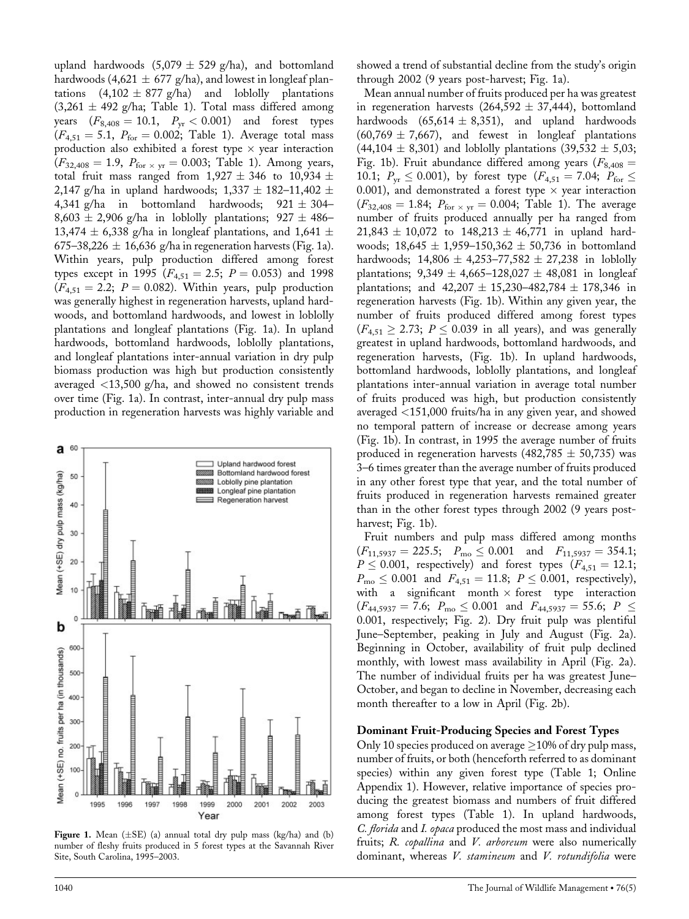upland hardwoods  $(5,079 \pm 529)$  g/ha), and bottomland hardwoods (4,621  $\pm$  677 g/ha), and lowest in longleaf plantations  $(4,102 \pm 877 \text{ g/ha})$  and loblolly plantations  $(3,261 \pm 492 \text{ g/ha}; \text{Table 1}).$  Total mass differed among years  $(F_{8,408} = 10.1, P_{vr} < 0.001)$  and forest types  $(F_{4,51} = 5.1, P_{for} = 0.002;$  Table 1). Average total mass production also exhibited a forest type  $\times$  year interaction  $(F_{32,408} = 1.9, P_{for \times yr} = 0.003;$  Table 1). Among years, total fruit mass ranged from  $1,927 \pm 346$  to  $10,934 \pm$ 2,147 g/ha in upland hardwoods;  $1,337 \pm 182 - 11,402 \pm 1$ 4,341 g/ha in bottomland hardwoods;  $921 \pm 304$  $8,603 \pm 2,906$  g/ha in loblolly plantations;  $927 \pm 486$ 13,474  $\pm$  6,338 g/ha in longleaf plantations, and 1,641  $\pm$ 675–38,226  $\pm$  16,636 g/ha in regeneration harvests (Fig. 1a). Within years, pulp production differed among forest types except in 1995 ( $F_{4,51} = 2.5$ ;  $P = 0.053$ ) and 1998  $(F_{4,51} = 2.2; P = 0.082)$ . Within years, pulp production was generally highest in regeneration harvests, upland hardwoods, and bottomland hardwoods, and lowest in loblolly plantations and longleaf plantations (Fig. 1a). In upland hardwoods, bottomland hardwoods, loblolly plantations, and longleaf plantations inter-annual variation in dry pulp biomass production was high but production consistently averaged <13,500 g/ha, and showed no consistent trends over time (Fig. 1a). In contrast, inter-annual dry pulp mass production in regeneration harvests was highly variable and



Figure 1. Mean  $(\pm SE)$  (a) annual total dry pulp mass (kg/ha) and (b) number of fleshy fruits produced in 5 forest types at the Savannah River Site, South Carolina, 1995–2003.

showed a trend of substantial decline from the study's origin through 2002 (9 years post-harvest; Fig. 1a).

Mean annual number of fruits produced per ha was greatest in regeneration harvests  $(264,592 \pm 37,444)$ , bottomland hardwoods  $(65,614 \pm 8,351)$ , and upland hardwoods  $(60,769 \pm 7,667)$ , and fewest in longleaf plantations  $(44,104 \pm 8,301)$  and loblolly plantations  $(39,532 \pm 5,03;$ Fig. 1b). Fruit abundance differed among years ( $F_{8,408}$  = 10.1;  $P_{vr} \leq 0.001$ ), by forest type  $(F_{4,51} = 7.04; P_{for} \leq$ 0.001), and demonstrated a forest type  $\times$  year interaction  $(F_{32,408} = 1.84; P_{for \times yr} = 0.004;$  Table 1). The average number of fruits produced annually per ha ranged from  $21,843 \pm 10,072$  to  $148,213 \pm 46,771$  in upland hardwoods;  $18,645 \pm 1,959 - 150,362 \pm 50,736$  in bottomland hardwoods;  $14,806 \pm 4,253 - 77,582 \pm 27,238$  in loblolly plantations;  $9,349 \pm 4,665 - 128,027 \pm 48,081$  in longleaf plantations; and  $42,207 \pm 15,230 - 482,784 \pm 178,346$  in regeneration harvests (Fig. 1b). Within any given year, the number of fruits produced differed among forest types  $(F_{4,51} \geq 2.73; P \leq 0.039$  in all years), and was generally greatest in upland hardwoods, bottomland hardwoods, and regeneration harvests, (Fig. 1b). In upland hardwoods, bottomland hardwoods, loblolly plantations, and longleaf plantations inter-annual variation in average total number of fruits produced was high, but production consistently averaged <151,000 fruits/ha in any given year, and showed no temporal pattern of increase or decrease among years (Fig. 1b). In contrast, in 1995 the average number of fruits produced in regeneration harvests (482,785  $\pm$  50,735) was 3–6 times greater than the average number of fruits produced in any other forest type that year, and the total number of fruits produced in regeneration harvests remained greater than in the other forest types through 2002 (9 years postharvest; Fig. 1b).

Fruit numbers and pulp mass differed among months  $(F_{11,5937} = 225.5;$   $P_{\text{mo}} \leq 0.001$  and  $F_{11,5937} = 354.1;$  $P \leq 0.001$ , respectively) and forest types  $(F_{4,51} = 12.1;$  $P_{\text{mo}} \leq 0.001$  and  $F_{4,51} = 11.8; P \leq 0.001$ , respectively), with a significant month  $\times$  forest type interaction  $(F_{44,5937} = 7.6; P_{\text{mo}} \leq 0.001$  and  $F_{44,5937} = 55.6; P \leq$ 0.001, respectively; Fig. 2). Dry fruit pulp was plentiful June–September, peaking in July and August (Fig. 2a). Beginning in October, availability of fruit pulp declined monthly, with lowest mass availability in April (Fig. 2a). The number of individual fruits per ha was greatest June– October, and began to decline in November, decreasing each month thereafter to a low in April (Fig. 2b).

#### Dominant Fruit-Producing Species and Forest Types

Only 10 species produced on average  $\geq$  10% of dry pulp mass, number of fruits, or both (henceforth referred to as dominant species) within any given forest type (Table 1; Online Appendix 1). However, relative importance of species producing the greatest biomass and numbers of fruit differed among forest types (Table 1). In upland hardwoods, C. florida and I. opaca produced the most mass and individual fruits; R. copallina and V. arboreum were also numerically dominant, whereas V. stamineum and V. rotundifolia were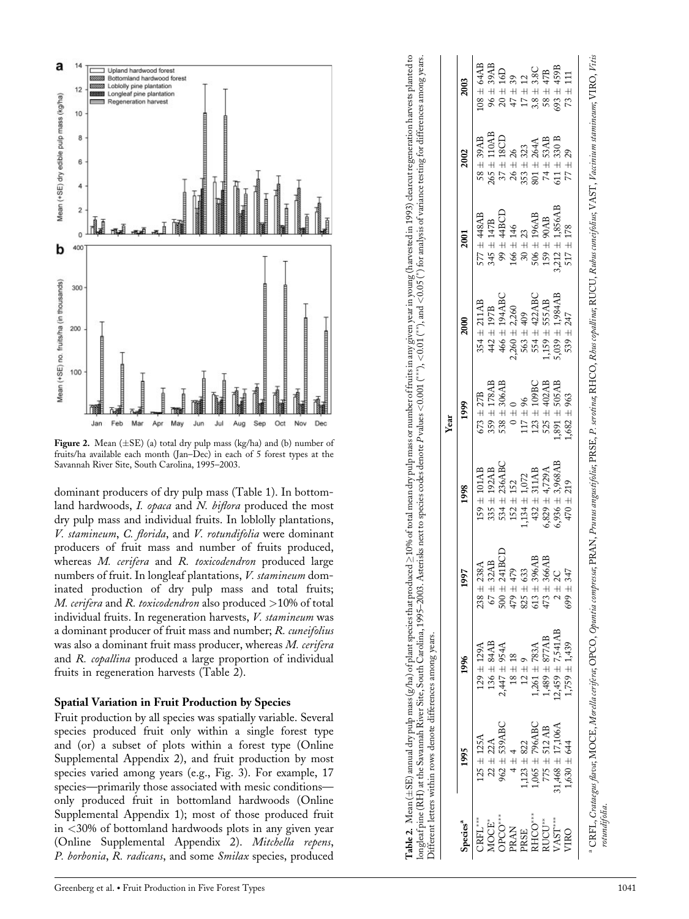

**Figure 2.** Mean  $(\pm SE)$  (a) total dry pulp mass (kg/ha) and (b) number of fruits/ha available each month (Jan–Dec) in each of 5 forest types at the Savannah River Site, South Carolina, 1995–2003.

dominant producers of dry pulp mass (Table 1). In bottomland hardwoods, I. opaca and N. biflora produced the most dry pulp mass and individual fruits. In loblolly plantations, V. stamineum, C. florida, and V. rotundifolia were dominant producers of fruit mass and number of fruits produced, whereas M. cerifera and R. toxicodendron produced large numbers of fruit. In longleaf plantations, *V. stamineum* dominated production of dry pulp mass and total fruits; *M. cerifera* and *R. toxicodendron* also produced  $>\!10\%$  of total individual fruits. In regeneration harvests, V. stamineum was a dominant producer of fruit mass and number; R. cuneifolius was also a dominant fruit mass producer, whereas M. cerifera and R. copallina produced a large proportion of individual fruits in regeneration harvests (Table 2).

### Spatial Variation in Fruit Production by Species

Fruit production by all species was spatially variable. Several species produced fruit only within a single forest type and (or) a subset of plots within a forest type (Online Supplemental Appendix 2), and fruit production by most species varied among years (e.g., Fig. 3). For example, 17 species—primarily those associated with mesic conditions only produced fruit in bottomland hardwoods (Online Supplemental Appendix 1); most of those produced fruit in <30% of bottomland hardwoods plots in any given year (Online Supplemental Appendix 2). Mitchella repens, P. borbonia, R. radicans, and some Smilax species, produced

| traute 1<br>in mher o<br>ry pulp mass<br>$M_0$ of $+$<br>$i$ able 2. Mean ( $\pm$ SE) annual dry pulp mass (g/ha) of plant species that pro-                     |
|------------------------------------------------------------------------------------------------------------------------------------------------------------------|
| $0.05$ ( $\degree$ ) for ana<br>$(0.01$ ( $^{**}$ ), and<br>$\sim$ 001 (***) $\sim$<br>ngleaf pine (RH) at the Savannah River Site, South Carolina, 1995-2003. . |
| ig vears.<br>ifferent letters within rows denote differences ar                                                                                                  |
|                                                                                                                                                                  |
| ear                                                                                                                                                              |

|                                                                                     |                                                                                                   |                      |                       |                                                                        | Year                |                                                                                                                                     |                           |                                      |                        |
|-------------------------------------------------------------------------------------|---------------------------------------------------------------------------------------------------|----------------------|-----------------------|------------------------------------------------------------------------|---------------------|-------------------------------------------------------------------------------------------------------------------------------------|---------------------------|--------------------------------------|------------------------|
| Species <sup>a</sup>                                                                |                                                                                                   | 1996                 | 1997                  | 1998                                                                   | <b>999</b>          | 2000                                                                                                                                | 2001                      | 2002                                 | 2003                   |
| $\begin{array}{ll} \mathrm{CRFL}^{***} \\ \mathrm{MOCE}^{*} \end{array}$            | $125 \pm 125$ A                                                                                   | $129 \pm 129$ A      | $238 \pm 238$ A       | $159 \pm 101AB$                                                        | $673 \pm 27B$       | $354 \pm 211AB$                                                                                                                     | $577 \pm 448AB$           | 39AB<br>$-18$                        | $108 \pm 64AB$         |
|                                                                                     | $22 \pm 22A$                                                                                      | $136 \pm 84AB$       | Ą<br>$67 \pm 32A$     | $335\,\pm\,192\mathrm{AB}$                                             | $359 \pm 178AB$     | $442\pm197\mathrm{B}$                                                                                                               | 345 ± 147B                | $265 \pm 110AB$                      | $96 \pm 39AB$          |
| $\begin{array}{ll} \mathrm{OPCO}^{***}\\ \mathrm{PRAN}\\ \mathrm{PRSE} \end{array}$ | $962 \pm 539ABC$                                                                                  | $2,447 \pm 954A$     | LBCD<br>$500 \pm 241$ | $534 \pm 236ABC$                                                       | $538 + 306AB$       | $466 \pm 194ABC$                                                                                                                    | $-39 \pm 44 \text{B}$     | $37\pm18{\rm CD}$                    | $20 \pm 16$            |
|                                                                                     | $4 \pm 4$                                                                                         | $18\,\pm\,18$        | 479 ± 479             | 152<br>$152 \pm 7$                                                     | $+$                 |                                                                                                                                     | 146<br>$166 \pm$          | $26 \pm 26$                          | $47 + 39$              |
|                                                                                     | $,123 + 822$                                                                                      | $12 + 9$             | $825 \pm 633$         | $\begin{array}{c} 1{,}134\pm 1{,}072\\ 432\pm 311{\rm AB} \end{array}$ | $117 \pm 96$        | $2,260 \pm 2,260$<br>$563 \pm 409$                                                                                                  |                           | $353 \pm 323$ $801 \pm 264 \text{A}$ | $17 + 12$              |
| ${\bf RHCO}^{***}$<br>${\bf RUCU}^{***}$                                            | $0.065 \pm 796ABC$                                                                                | $1,261 \pm 783$ Å    | $613 \pm 396AB$       |                                                                        | $123 \pm 109$ BC    | $554 \pm 422ABC$                                                                                                                    | $30\pm23$ 506 $\pm$ 196AB |                                      | $3.8 \pm 3.8 \text{C}$ |
|                                                                                     | $775 \pm 512$ AB                                                                                  | $1,489 \pm 877AB$    | $473 + 366AB$         | $6,829 \pm 4,729$ A                                                    | $525 \pm 402AB$     | $1.159 \pm 555AB$                                                                                                                   | $159\pm90\text{AB}$       | 53AB<br>$74 \pm 9$                   | $58\pm47\mathrm{B}$    |
| $VAST***$                                                                           | $31,468 \pm 17,106$ A                                                                             | $12,459 \pm 7,541AB$ | $2 \pm 2C$            | $,936 \pm 3,968AB$                                                     | 505AB<br>$,891 \pm$ | $(0.39 \pm 1.984AB)$                                                                                                                | $,212 \pm 1,856AB$        | 330 B<br>$611 \pm 1$                 | $593 + 459B$           |
| VIRO                                                                                | $1,630 \pm 644$                                                                                   | $1,759 \pm 1,439$    | $699 \pm 347$         | 219<br>$470 \pm$                                                       | $.682 + 963$        | ± 247<br>539                                                                                                                        | $517 \pm 178$             | $77 \pm 29$                          | $73 \pm$               |
|                                                                                     | a CRFL, <i>Crataegus flava</i> ; MOCE, <i>Morella cerifera</i> ; OPCO, <i>Opuntia compressa</i> ; |                      |                       |                                                                        |                     | PRAN, Prunus angustifolia; PRSE, P. serotina; RHCO, Rhus copallina; RUCU, Rubus cuneifolius; VAST, Vaccinium stamineum; VIRO, Vitis |                           |                                      |                        |

rotundifolia.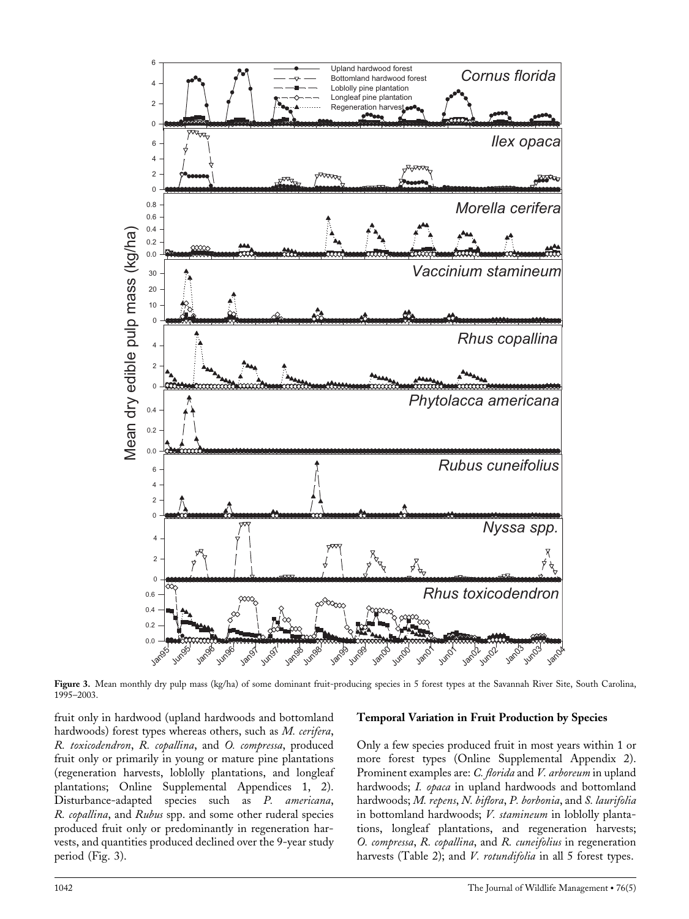

Figure 3. Mean monthly dry pulp mass (kg/ha) of some dominant fruit-producing species in 5 forest types at the Savannah River Site, South Carolina, 1995–2003.

fruit only in hardwood (upland hardwoods and bottomland hardwoods) forest types whereas others, such as M. cerifera, R. toxicodendron, R. copallina, and O. compressa, produced fruit only or primarily in young or mature pine plantations (regeneration harvests, loblolly plantations, and longleaf plantations; Online Supplemental Appendices 1, 2). Disturbance-adapted species such as P. americana, R. copallina, and Rubus spp. and some other ruderal species produced fruit only or predominantly in regeneration harvests, and quantities produced declined over the 9-year study period (Fig. 3).

#### Temporal Variation in Fruit Production by Species

Only a few species produced fruit in most years within 1 or more forest types (Online Supplemental Appendix 2). Prominent examples are: C. florida and V. arboreum in upland hardwoods; I. opaca in upland hardwoods and bottomland hardwoods; M. repens, N. biflora, P. borbonia, and S. laurifolia in bottomland hardwoods; V. stamineum in loblolly plantations, longleaf plantations, and regeneration harvests; O. compressa, R. copallina, and R. cuneifolius in regeneration harvests (Table 2); and *V. rotundifolia* in all 5 forest types.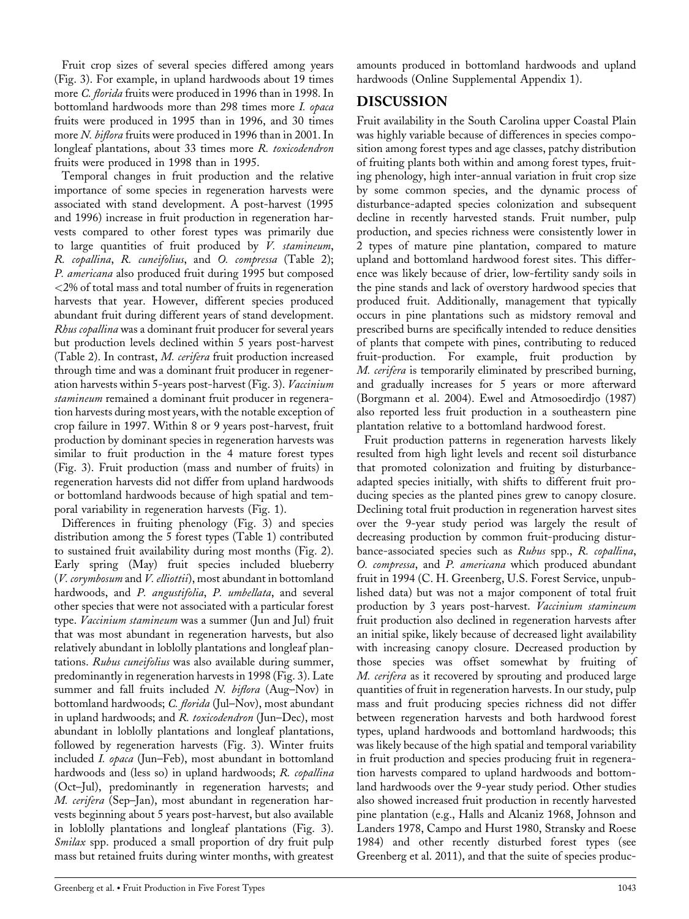Fruit crop sizes of several species differed among years (Fig. 3). For example, in upland hardwoods about 19 times more C. florida fruits were produced in 1996 than in 1998. In bottomland hardwoods more than 298 times more I. opaca fruits were produced in 1995 than in 1996, and 30 times more N. biflora fruits were produced in 1996 than in 2001. In longleaf plantations, about 33 times more R. toxicodendron fruits were produced in 1998 than in 1995.

Temporal changes in fruit production and the relative importance of some species in regeneration harvests were associated with stand development. A post-harvest (1995 and 1996) increase in fruit production in regeneration harvests compared to other forest types was primarily due to large quantities of fruit produced by V. stamineum, R. copallina, R. cuneifolius, and O. compressa (Table 2); P. americana also produced fruit during 1995 but composed <2% of total mass and total number of fruits in regeneration harvests that year. However, different species produced abundant fruit during different years of stand development. Rhus copallina was a dominant fruit producer for several years but production levels declined within 5 years post-harvest (Table 2). In contrast, M. cerifera fruit production increased through time and was a dominant fruit producer in regeneration harvests within 5-years post-harvest (Fig. 3). Vaccinium stamineum remained a dominant fruit producer in regeneration harvests during most years, with the notable exception of crop failure in 1997. Within 8 or 9 years post-harvest, fruit production by dominant species in regeneration harvests was similar to fruit production in the 4 mature forest types (Fig. 3). Fruit production (mass and number of fruits) in regeneration harvests did not differ from upland hardwoods or bottomland hardwoods because of high spatial and temporal variability in regeneration harvests (Fig. 1).

Differences in fruiting phenology (Fig. 3) and species distribution among the 5 forest types (Table 1) contributed to sustained fruit availability during most months (Fig. 2). Early spring (May) fruit species included blueberry (V. corymbosum and V. elliottii), most abundant in bottomland hardwoods, and P. angustifolia, P. umbellata, and several other species that were not associated with a particular forest type. Vaccinium stamineum was a summer (Jun and Jul) fruit that was most abundant in regeneration harvests, but also relatively abundant in loblolly plantations and longleaf plantations. Rubus cuneifolius was also available during summer, predominantly in regeneration harvests in 1998 (Fig. 3). Late summer and fall fruits included N. biflora (Aug–Nov) in bottomland hardwoods; C. florida (Jul–Nov), most abundant in upland hardwoods; and R. toxicodendron (Jun-Dec), most abundant in loblolly plantations and longleaf plantations, followed by regeneration harvests (Fig. 3). Winter fruits included I. opaca (Jun–Feb), most abundant in bottomland hardwoods and (less so) in upland hardwoods; R. copallina (Oct–Jul), predominantly in regeneration harvests; and M. cerifera (Sep–Jan), most abundant in regeneration harvests beginning about 5 years post-harvest, but also available in loblolly plantations and longleaf plantations (Fig. 3). Smilax spp. produced a small proportion of dry fruit pulp mass but retained fruits during winter months, with greatest amounts produced in bottomland hardwoods and upland hardwoods (Online Supplemental Appendix 1).

### DISCUSSION

Fruit availability in the South Carolina upper Coastal Plain was highly variable because of differences in species composition among forest types and age classes, patchy distribution of fruiting plants both within and among forest types, fruiting phenology, high inter-annual variation in fruit crop size by some common species, and the dynamic process of disturbance-adapted species colonization and subsequent decline in recently harvested stands. Fruit number, pulp production, and species richness were consistently lower in 2 types of mature pine plantation, compared to mature upland and bottomland hardwood forest sites. This difference was likely because of drier, low-fertility sandy soils in the pine stands and lack of overstory hardwood species that produced fruit. Additionally, management that typically occurs in pine plantations such as midstory removal and prescribed burns are specifically intended to reduce densities of plants that compete with pines, contributing to reduced fruit-production. For example, fruit production by M. cerifera is temporarily eliminated by prescribed burning, and gradually increases for 5 years or more afterward (Borgmann et al. 2004). Ewel and Atmosoedirdjo (1987) also reported less fruit production in a southeastern pine plantation relative to a bottomland hardwood forest.

Fruit production patterns in regeneration harvests likely resulted from high light levels and recent soil disturbance that promoted colonization and fruiting by disturbanceadapted species initially, with shifts to different fruit producing species as the planted pines grew to canopy closure. Declining total fruit production in regeneration harvest sites over the 9-year study period was largely the result of decreasing production by common fruit-producing disturbance-associated species such as Rubus spp., R. copallina, O. compressa, and P. americana which produced abundant fruit in 1994 (C. H. Greenberg, U.S. Forest Service, unpublished data) but was not a major component of total fruit production by 3 years post-harvest. Vaccinium stamineum fruit production also declined in regeneration harvests after an initial spike, likely because of decreased light availability with increasing canopy closure. Decreased production by those species was offset somewhat by fruiting of M. cerifera as it recovered by sprouting and produced large quantities of fruit in regeneration harvests. In our study, pulp mass and fruit producing species richness did not differ between regeneration harvests and both hardwood forest types, upland hardwoods and bottomland hardwoods; this was likely because of the high spatial and temporal variability in fruit production and species producing fruit in regeneration harvests compared to upland hardwoods and bottomland hardwoods over the 9-year study period. Other studies also showed increased fruit production in recently harvested pine plantation (e.g., Halls and Alcaniz 1968, Johnson and Landers 1978, Campo and Hurst 1980, Stransky and Roese 1984) and other recently disturbed forest types (see Greenberg et al. 2011), and that the suite of species produc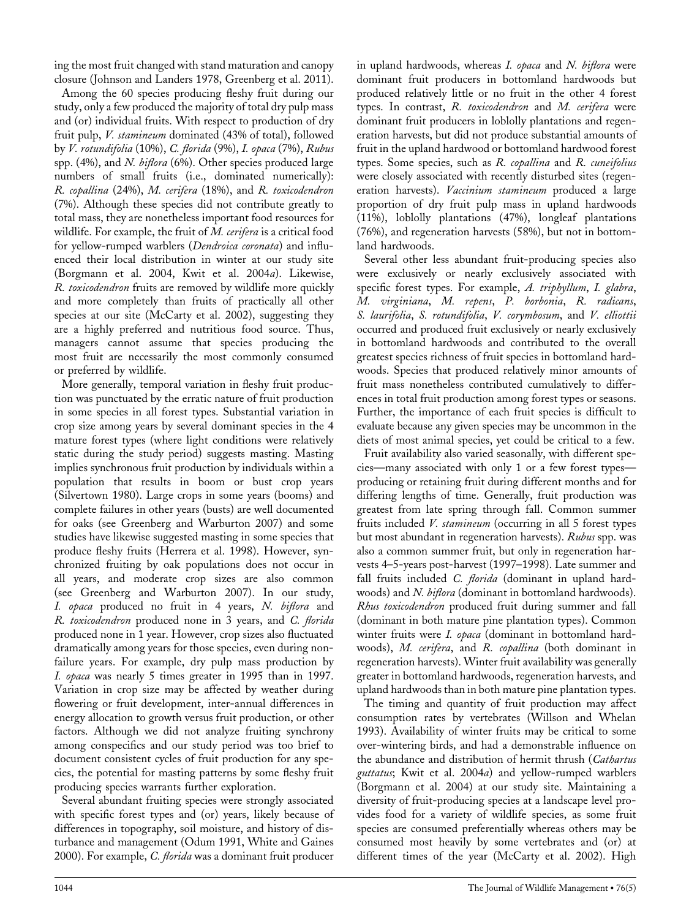ing the most fruit changed with stand maturation and canopy closure (Johnson and Landers 1978, Greenberg et al. 2011).

Among the 60 species producing fleshy fruit during our study, only a few produced the majority of total dry pulp mass and (or) individual fruits. With respect to production of dry fruit pulp, V. stamineum dominated (43% of total), followed by V. rotundifolia (10%), C. florida (9%), I. opaca (7%), Rubus spp. (4%), and *N. biflora* (6%). Other species produced large numbers of small fruits (i.e., dominated numerically): R. copallina (24%), M. cerifera (18%), and R. toxicodendron (7%). Although these species did not contribute greatly to total mass, they are nonetheless important food resources for wildlife. For example, the fruit of M. cerifera is a critical food for yellow-rumped warblers (Dendroica coronata) and influenced their local distribution in winter at our study site (Borgmann et al. 2004, Kwit et al. 2004a). Likewise, R. toxicodendron fruits are removed by wildlife more quickly and more completely than fruits of practically all other species at our site (McCarty et al. 2002), suggesting they are a highly preferred and nutritious food source. Thus, managers cannot assume that species producing the most fruit are necessarily the most commonly consumed or preferred by wildlife.

More generally, temporal variation in fleshy fruit production was punctuated by the erratic nature of fruit production in some species in all forest types. Substantial variation in crop size among years by several dominant species in the 4 mature forest types (where light conditions were relatively static during the study period) suggests masting. Masting implies synchronous fruit production by individuals within a population that results in boom or bust crop years (Silvertown 1980). Large crops in some years (booms) and complete failures in other years (busts) are well documented for oaks (see Greenberg and Warburton 2007) and some studies have likewise suggested masting in some species that produce fleshy fruits (Herrera et al. 1998). However, synchronized fruiting by oak populations does not occur in all years, and moderate crop sizes are also common (see Greenberg and Warburton 2007). In our study, I. opaca produced no fruit in 4 years, N. biflora and R. toxicodendron produced none in 3 years, and C. florida produced none in 1 year. However, crop sizes also fluctuated dramatically among years for those species, even during nonfailure years. For example, dry pulp mass production by I. *opaca* was nearly 5 times greater in 1995 than in 1997. Variation in crop size may be affected by weather during flowering or fruit development, inter-annual differences in energy allocation to growth versus fruit production, or other factors. Although we did not analyze fruiting synchrony among conspecifics and our study period was too brief to document consistent cycles of fruit production for any species, the potential for masting patterns by some fleshy fruit producing species warrants further exploration.

Several abundant fruiting species were strongly associated with specific forest types and (or) years, likely because of differences in topography, soil moisture, and history of disturbance and management (Odum 1991, White and Gaines 2000). For example, C. florida was a dominant fruit producer

in upland hardwoods, whereas I. opaca and N. biflora were dominant fruit producers in bottomland hardwoods but produced relatively little or no fruit in the other 4 forest types. In contrast, R. toxicodendron and M. cerifera were dominant fruit producers in loblolly plantations and regeneration harvests, but did not produce substantial amounts of fruit in the upland hardwood or bottomland hardwood forest types. Some species, such as  $R$ . copallina and  $R$ . cuneifolius were closely associated with recently disturbed sites (regeneration harvests). Vaccinium stamineum produced a large proportion of dry fruit pulp mass in upland hardwoods (11%), loblolly plantations (47%), longleaf plantations (76%), and regeneration harvests (58%), but not in bottomland hardwoods.

Several other less abundant fruit-producing species also were exclusively or nearly exclusively associated with specific forest types. For example, A. triphyllum, I. glabra, M. virginiana, M. repens, P. borbonia, R. radicans, S. laurifolia, S. rotundifolia, V. corymbosum, and V. elliottii occurred and produced fruit exclusively or nearly exclusively in bottomland hardwoods and contributed to the overall greatest species richness of fruit species in bottomland hardwoods. Species that produced relatively minor amounts of fruit mass nonetheless contributed cumulatively to differences in total fruit production among forest types or seasons. Further, the importance of each fruit species is difficult to evaluate because any given species may be uncommon in the diets of most animal species, yet could be critical to a few.

Fruit availability also varied seasonally, with different species—many associated with only 1 or a few forest types producing or retaining fruit during different months and for differing lengths of time. Generally, fruit production was greatest from late spring through fall. Common summer fruits included V. stamineum (occurring in all 5 forest types but most abundant in regeneration harvests). Rubus spp. was also a common summer fruit, but only in regeneration harvests 4–5-years post-harvest (1997–1998). Late summer and fall fruits included C. *florida* (dominant in upland hardwoods) and N. biflora (dominant in bottomland hardwoods). Rhus toxicodendron produced fruit during summer and fall (dominant in both mature pine plantation types). Common winter fruits were *I. opaca* (dominant in bottomland hardwoods), M. cerifera, and R. copallina (both dominant in regeneration harvests). Winter fruit availability was generally greater in bottomland hardwoods, regeneration harvests, and upland hardwoods than in both mature pine plantation types.

The timing and quantity of fruit production may affect consumption rates by vertebrates (Willson and Whelan 1993). Availability of winter fruits may be critical to some over-wintering birds, and had a demonstrable influence on the abundance and distribution of hermit thrush (Cathartus guttatus; Kwit et al. 2004a) and yellow-rumped warblers (Borgmann et al. 2004) at our study site. Maintaining a diversity of fruit-producing species at a landscape level provides food for a variety of wildlife species, as some fruit species are consumed preferentially whereas others may be consumed most heavily by some vertebrates and (or) at different times of the year (McCarty et al. 2002). High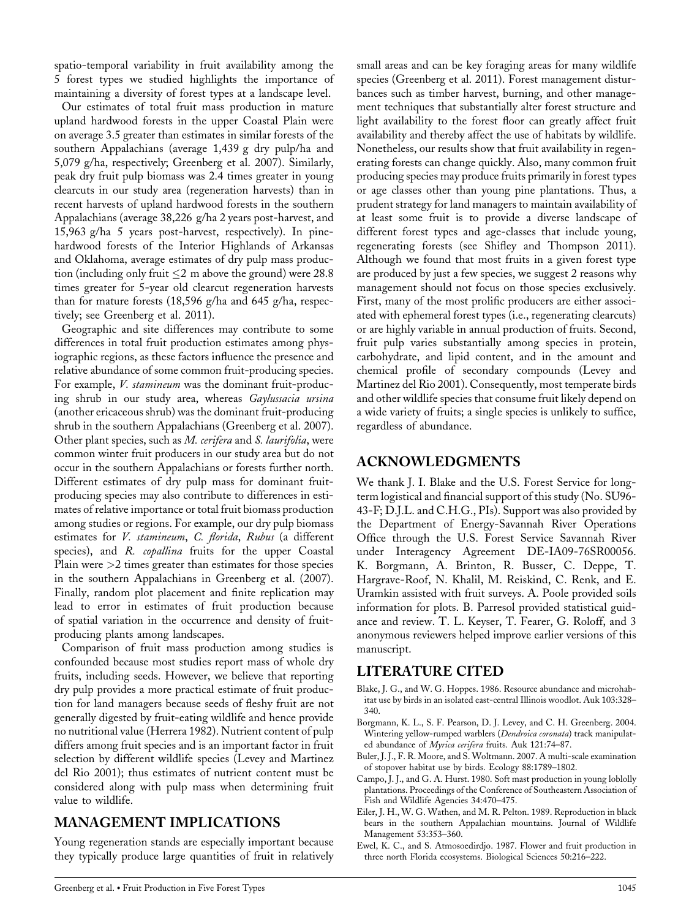spatio-temporal variability in fruit availability among the 5 forest types we studied highlights the importance of maintaining a diversity of forest types at a landscape level.

Our estimates of total fruit mass production in mature upland hardwood forests in the upper Coastal Plain were on average 3.5 greater than estimates in similar forests of the southern Appalachians (average 1,439 g dry pulp/ha and 5,079 g/ha, respectively; Greenberg et al. 2007). Similarly, peak dry fruit pulp biomass was 2.4 times greater in young clearcuts in our study area (regeneration harvests) than in recent harvests of upland hardwood forests in the southern Appalachians (average 38,226 g/ha 2 years post-harvest, and 15,963 g/ha 5 years post-harvest, respectively). In pinehardwood forests of the Interior Highlands of Arkansas and Oklahoma, average estimates of dry pulp mass production (including only fruit  $\leq$ 2 m above the ground) were 28.8 times greater for 5-year old clearcut regeneration harvests than for mature forests (18,596 g/ha and 645 g/ha, respectively; see Greenberg et al. 2011).

Geographic and site differences may contribute to some differences in total fruit production estimates among physiographic regions, as these factors influence the presence and relative abundance of some common fruit-producing species. For example, V. stamineum was the dominant fruit-producing shrub in our study area, whereas Gaylussacia ursina (another ericaceous shrub) was the dominant fruit-producing shrub in the southern Appalachians (Greenberg et al. 2007). Other plant species, such as M. cerifera and S. laurifolia, were common winter fruit producers in our study area but do not occur in the southern Appalachians or forests further north. Different estimates of dry pulp mass for dominant fruitproducing species may also contribute to differences in estimates of relative importance or total fruit biomass production among studies or regions. For example, our dry pulp biomass estimates for *V. stamineum*, *C. florida*, *Rubus* (a different species), and R. *copallina* fruits for the upper Coastal Plain were  $>2$  times greater than estimates for those species in the southern Appalachians in Greenberg et al. (2007). Finally, random plot placement and finite replication may lead to error in estimates of fruit production because of spatial variation in the occurrence and density of fruitproducing plants among landscapes.

Comparison of fruit mass production among studies is confounded because most studies report mass of whole dry fruits, including seeds. However, we believe that reporting dry pulp provides a more practical estimate of fruit production for land managers because seeds of fleshy fruit are not generally digested by fruit-eating wildlife and hence provide no nutritional value (Herrera 1982). Nutrient content of pulp differs among fruit species and is an important factor in fruit selection by different wildlife species (Levey and Martinez del Rio 2001); thus estimates of nutrient content must be considered along with pulp mass when determining fruit value to wildlife.

# MANAGEMENT IMPLICATIONS

Young regeneration stands are especially important because they typically produce large quantities of fruit in relatively small areas and can be key foraging areas for many wildlife species (Greenberg et al. 2011). Forest management disturbances such as timber harvest, burning, and other management techniques that substantially alter forest structure and light availability to the forest floor can greatly affect fruit availability and thereby affect the use of habitats by wildlife. Nonetheless, our results show that fruit availability in regenerating forests can change quickly. Also, many common fruit producing species may produce fruits primarily in forest types or age classes other than young pine plantations. Thus, a prudent strategy for land managers to maintain availability of at least some fruit is to provide a diverse landscape of different forest types and age-classes that include young, regenerating forests (see Shifley and Thompson 2011). Although we found that most fruits in a given forest type are produced by just a few species, we suggest 2 reasons why management should not focus on those species exclusively. First, many of the most prolific producers are either associated with ephemeral forest types (i.e., regenerating clearcuts) or are highly variable in annual production of fruits. Second, fruit pulp varies substantially among species in protein, carbohydrate, and lipid content, and in the amount and chemical profile of secondary compounds (Levey and Martinez del Rio 2001). Consequently, most temperate birds and other wildlife species that consume fruit likely depend on a wide variety of fruits; a single species is unlikely to suffice, regardless of abundance.

# ACKNOWLEDGMENTS

We thank J. I. Blake and the U.S. Forest Service for longterm logistical and financial support of this study (No. SU96- 43-F; D.J.L. and C.H.G., PIs). Support was also provided by the Department of Energy-Savannah River Operations Office through the U.S. Forest Service Savannah River under Interagency Agreement DE-IA09-76SR00056. K. Borgmann, A. Brinton, R. Busser, C. Deppe, T. Hargrave-Roof, N. Khalil, M. Reiskind, C. Renk, and E. Uramkin assisted with fruit surveys. A. Poole provided soils information for plots. B. Parresol provided statistical guidance and review. T. L. Keyser, T. Fearer, G. Roloff, and 3 anonymous reviewers helped improve earlier versions of this manuscript.

### LITERATURE CITED

- Blake, J. G., and W. G. Hoppes. 1986. Resource abundance and microhabitat use by birds in an isolated east-central Illinois woodlot. Auk 103:328– 340.
- Borgmann, K. L., S. F. Pearson, D. J. Levey, and C. H. Greenberg. 2004. Wintering yellow-rumped warblers (Dendroica coronata) track manipulated abundance of Myrica cerifera fruits. Auk 121:74–87.
- Buler, J. J., F. R. Moore, and S. Woltmann. 2007. A multi-scale examination of stopover habitat use by birds. Ecology 88:1789–1802.
- Campo, J. J., and G. A. Hurst. 1980. Soft mast production in young loblolly plantations. Proceedings of the Conference of Southeastern Association of Fish and Wildlife Agencies 34:470–475.
- Eiler, J. H., W. G. Wathen, and M. R. Pelton. 1989. Reproduction in black bears in the southern Appalachian mountains. Journal of Wildlife Management 53:353–360.
- Ewel, K. C., and S. Atmosoedirdjo. 1987. Flower and fruit production in three north Florida ecosystems. Biological Sciences 50:216–222.